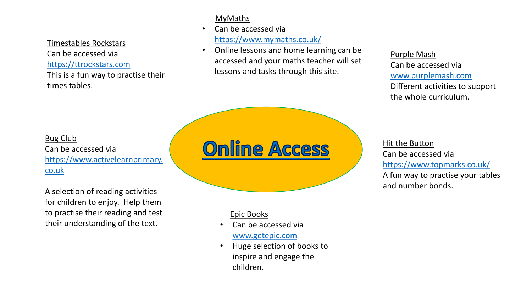Timestables Rockstars

Can be accessed via [https://ttrockstars.com](https://play.edshed.com/)

This is a fun way to practise their times tables.

## MyMaths

- Can be accessed via <https://www.mymaths.co.uk/>
- Online lessons and home learning can be accessed and your maths teacher will set lessons and tasks through this site.

### Purple Mash

Can be accessed via [www.purplemash.com](https://www.purplemash.com/) Different activities to support the whole curriculum.

## Bug Club Can be accessed via [https://www.activelearnprimary.](https://www.activelearnprimary.co.uk/) co.uk

A selection of reading activities for children to enjoy. Help them to practise their reading and test their understanding of the text.

# **Online Access**

## Epic Books

- Can be accessed via [www.getepic.com](http://www.getepic.com/)
- Huge selection of books to inspire and engage the children.

Hit the Button Can be accessed via <https://www.topmarks.co.uk/> A fun way to practise your tables

and number bonds.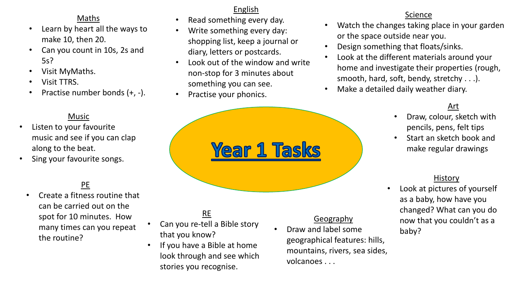## Maths

- Learn by heart all the ways to make 10, then 20.
- Can you count in 10s, 2s and 5s?
- Visit MyMaths.
- Visit TTRS.
- Practise number bonds (+, -).

### Music

- Listen to your favourite music and see if you can clap along to the beat.
- Sing your favourite songs.

## PE

• Create a fitness routine that can be carried out on the spot for 10 minutes. How many times can you repeat the routine?

## English

- Read something every day.
- Write something every day: shopping list, keep a journal or diary, letters or postcards.
- Look out of the window and write non-stop for 3 minutes about something you can see.
- Practise your phonics.



## RE

- Can you re-tell a Bible story that you know?
- If you have a Bible at home look through and see which stories you recognise.

## **Geography**

• Draw and label some geographical features: hills, mountains, rivers, sea sides, volcanoes . . .

### Science

- Watch the changes taking place in your garden or the space outside near you.
- Design something that floats/sinks.
- Look at the different materials around your home and investigate their properties (rough, smooth, hard, soft, bendy, stretchy . . .).
- Make a detailed daily weather diary.

## Art

- Draw, colour, sketch with pencils, pens, felt tips
- Start an sketch book and make regular drawings

#### History

Look at pictures of yourself as a baby, how have you changed? What can you do now that you couldn't as a baby?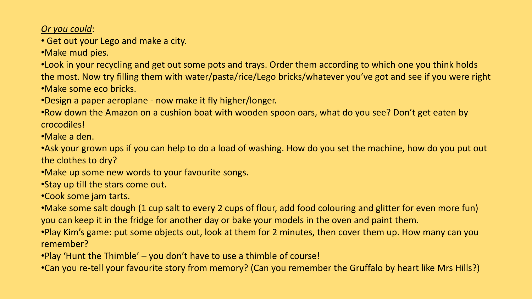*Or you could*:

• Get out your Lego and make a city.

•Make mud pies.

•Look in your recycling and get out some pots and trays. Order them according to which one you think holds the most. Now try filling them with water/pasta/rice/Lego bricks/whatever you've got and see if you were right •Make some eco bricks.

•Design a paper aeroplane - now make it fly higher/longer.

•Row down the Amazon on a cushion boat with wooden spoon oars, what do you see? Don't get eaten by crocodiles!

•Make a den.

•Ask your grown ups if you can help to do a load of washing. How do you set the machine, how do you put out the clothes to dry?

•Make up some new words to your favourite songs.

•Stay up till the stars come out.

•Cook some jam tarts.

•Make some salt dough (1 cup salt to every 2 cups of flour, add food colouring and glitter for even more fun) you can keep it in the fridge for another day or bake your models in the oven and paint them.

•Play Kim's game: put some objects out, look at them for 2 minutes, then cover them up. How many can you remember?

•Play 'Hunt the Thimble' – you don't have to use a thimble of course!

•Can you re-tell your favourite story from memory? (Can you remember the Gruffalo by heart like Mrs Hills?)